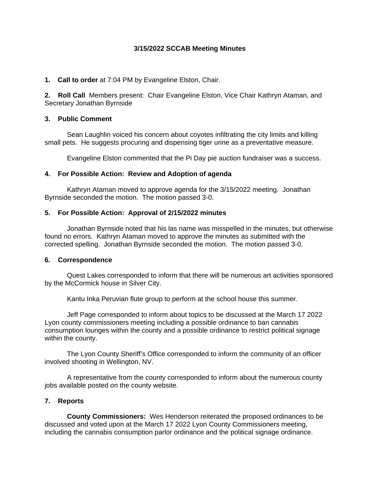## **3/15/2022 SCCAB Meeting Minutes**

**1. Call to order** at 7:04 PM by Evangeline Elston, Chair.

**2. Roll Call** Members present: Chair Evangeline Elston, Vice Chair Kathryn Ataman, and Secretary Jonathan Byrnside

#### **3. Public Comment**

Sean Laughlin voiced his concern about coyotes infiltrating the city limits and killing small pets. He suggests procuring and dispensing tiger urine as a preventative measure.

Evangeline Elston commented that the Pi Day pie auction fundraiser was a success.

## **4. For Possible Action: Review and Adoption of agenda**

Kathryn Ataman moved to approve agenda for the 3/15/2022 meeting. Jonathan Byrnside seconded the motion. The motion passed 3-0.

## **5. For Possible Action: Approval of 2/15/2022 minutes**

Jonathan Byrnside noted that his las name was misspelled in the minutes, but otherwise found no errors. Kathryn Ataman moved to approve the minutes as submitted with the corrected spelling. Jonathan Byrnside seconded the motion. The motion passed 3-0.

#### **6. Correspondence**

Quest Lakes corresponded to inform that there will be numerous art activities sponsored by the McCormick house in Silver City.

Kantu Inka Peruvian flute group to perform at the school house this summer.

Jeff Page corresponded to inform about topics to be discussed at the March 17 2022 Lyon county commissioners meeting including a possible ordinance to ban cannabis consumption lounges within the county and a possible ordinance to restrict political signage within the county.

The Lyon County Sheriff's Office corresponded to inform the community of an officer involved shooting in Wellington, NV.

A representative from the county corresponded to inform about the numerous county jobs available posted on the county website.

# **7. Reports**

**County Commissioners:** Wes Henderson reiterated the proposed ordinances to be discussed and voted upon at the March 17 2022 Lyon County Commissioners meeting, including the cannabis consumption parlor ordinance and the political signage ordinance.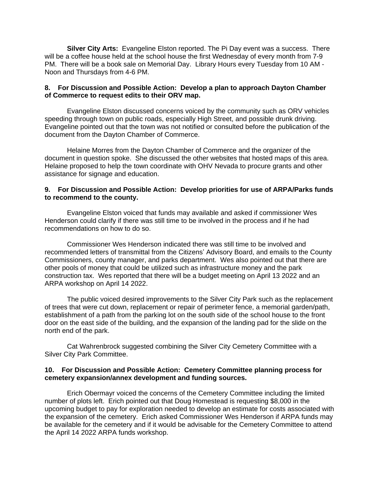**Silver City Arts:** Evangeline Elston reported. The Pi Day event was a success. There will be a coffee house held at the school house the first Wednesday of every month from 7-9 PM. There will be a book sale on Memorial Day. Library Hours every Tuesday from 10 AM - Noon and Thursdays from 4-6 PM.

#### **8. For Discussion and Possible Action: Develop a plan to approach Dayton Chamber of Commerce to request edits to their ORV map.**

Evangeline Elston discussed concerns voiced by the community such as ORV vehicles speeding through town on public roads, especially High Street, and possible drunk driving. Evangeline pointed out that the town was not notified or consulted before the publication of the document from the Dayton Chamber of Commerce.

Helaine Morres from the Dayton Chamber of Commerce and the organizer of the document in question spoke. She discussed the other websites that hosted maps of this area. Helaine proposed to help the town coordinate with OHV Nevada to procure grants and other assistance for signage and education.

#### **9. For Discussion and Possible Action: Develop priorities for use of ARPA/Parks funds to recommend to the county.**

Evangeline Elston voiced that funds may available and asked if commissioner Wes Henderson could clarify if there was still time to be involved in the process and if he had recommendations on how to do so.

Commissioner Wes Henderson indicated there was still time to be involved and recommended letters of transmittal from the Citizens' Advisory Board, and emails to the County Commissioners, county manager, and parks department. Wes also pointed out that there are other pools of money that could be utilized such as infrastructure money and the park construction tax. Wes reported that there will be a budget meeting on April 13 2022 and an ARPA workshop on April 14 2022.

The public voiced desired improvements to the Silver City Park such as the replacement of trees that were cut down, replacement or repair of perimeter fence, a memorial garden/path, establishment of a path from the parking lot on the south side of the school house to the front door on the east side of the building, and the expansion of the landing pad for the slide on the north end of the park.

Cat Wahrenbrock suggested combining the Silver City Cemetery Committee with a Silver City Park Committee.

## **10. For Discussion and Possible Action: Cemetery Committee planning process for cemetery expansion/annex development and funding sources.**

Erich Obermayr voiced the concerns of the Cemetery Committee including the limited number of plots left. Erich pointed out that Doug Homestead is requesting \$8,000 in the upcoming budget to pay for exploration needed to develop an estimate for costs associated with the expansion of the cemetery. Erich asked Commissioner Wes Henderson if ARPA funds may be available for the cemetery and if it would be advisable for the Cemetery Committee to attend the April 14 2022 ARPA funds workshop.